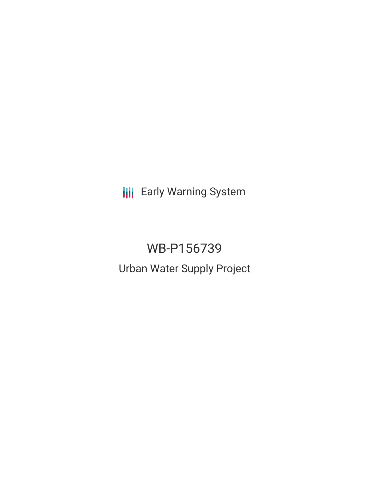**III** Early Warning System

# WB-P156739 Urban Water Supply Project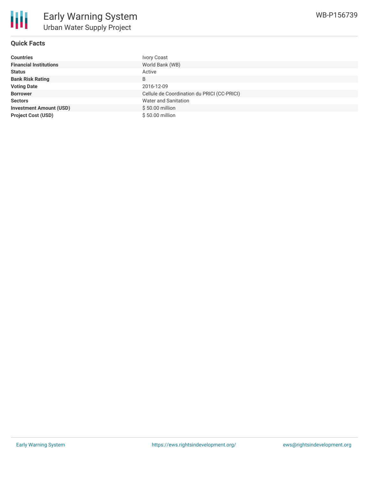## **Quick Facts**

| <b>Countries</b>               | <b>Ivory Coast</b>                          |
|--------------------------------|---------------------------------------------|
| <b>Financial Institutions</b>  | World Bank (WB)                             |
| <b>Status</b>                  | Active                                      |
| <b>Bank Risk Rating</b>        | B                                           |
| <b>Voting Date</b>             | 2016-12-09                                  |
| <b>Borrower</b>                | Cellule de Coordination du PRICI (CC-PRICI) |
| <b>Sectors</b>                 | Water and Sanitation                        |
| <b>Investment Amount (USD)</b> | \$50.00 million                             |
| <b>Project Cost (USD)</b>      | \$50.00 million                             |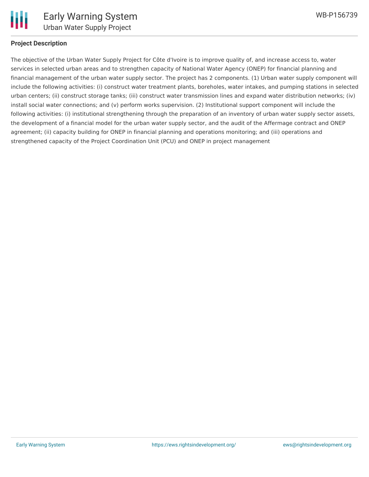

#### **Project Description**

The objective of the Urban Water Supply Project for Côte d'Ivoire is to improve quality of, and increase access to, water services in selected urban areas and to strengthen capacity of National Water Agency (ONEP) for financial planning and financial management of the urban water supply sector. The project has 2 components. (1) Urban water supply component will include the following activities: (i) construct water treatment plants, boreholes, water intakes, and pumping stations in selected urban centers; (ii) construct storage tanks; (iii) construct water transmission lines and expand water distribution networks; (iv) install social water connections; and (v) perform works supervision. (2) Institutional support component will include the following activities: (i) institutional strengthening through the preparation of an inventory of urban water supply sector assets, the development of a financial model for the urban water supply sector, and the audit of the Affermage contract and ONEP agreement; (ii) capacity building for ONEP in financial planning and operations monitoring; and (iii) operations and strengthened capacity of the Project Coordination Unit (PCU) and ONEP in project management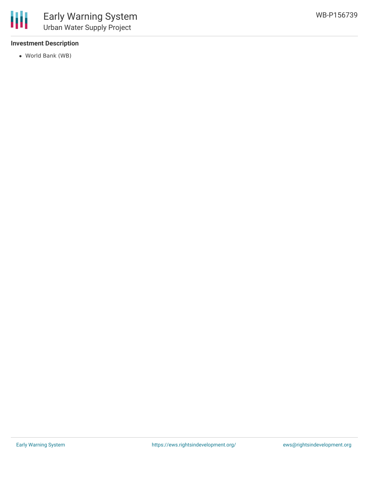### **Investment Description**

World Bank (WB)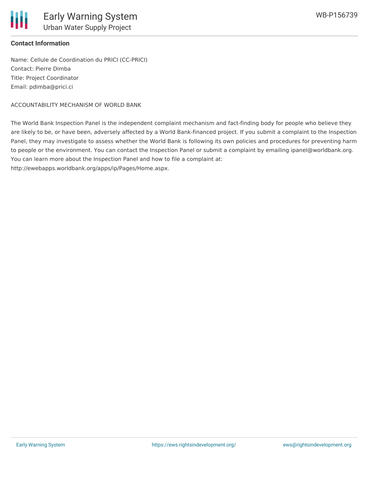

### **Contact Information**

Name: Cellule de Coordination du PRICI (CC-PRICI) Contact: Pierre Dimba Title: Project Coordinator Email: pdimba@prici.ci

ACCOUNTABILITY MECHANISM OF WORLD BANK

The World Bank Inspection Panel is the independent complaint mechanism and fact-finding body for people who believe they are likely to be, or have been, adversely affected by a World Bank-financed project. If you submit a complaint to the Inspection Panel, they may investigate to assess whether the World Bank is following its own policies and procedures for preventing harm to people or the environment. You can contact the Inspection Panel or submit a complaint by emailing ipanel@worldbank.org. You can learn more about the Inspection Panel and how to file a complaint at:

http://ewebapps.worldbank.org/apps/ip/Pages/Home.aspx.